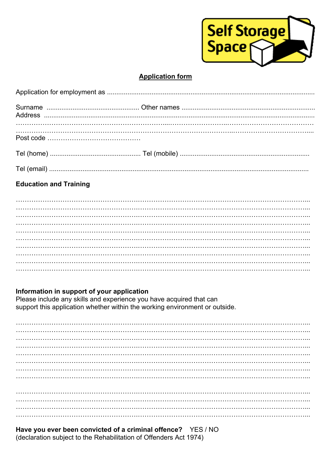

## **Application form**

# **Education and Training**

### Information in support of your application

Please include any skills and experience you have acquired that can support this application whether within the working environment or outside.

Have you ever been convicted of a criminal offence? YES / NO (declaration subject to the Rehabilitation of Offenders Act 1974)